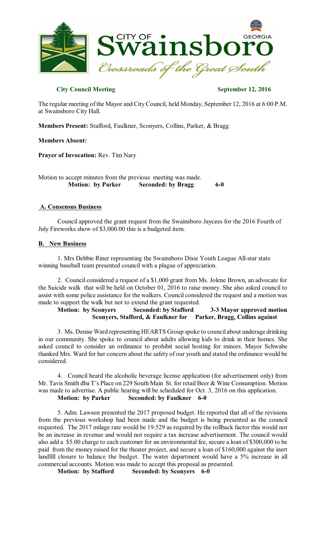

## **City Council Meeting September** 12, 2016

The regular meeting of the Mayor and City Council, held Monday, September 12, 2016 at 6:00 P.M. at Swainsboro City Hall.

**Members Present:** Stafford, Faulkner, Sconyers, Collins, Parker, & Bragg

### **Members Absent:**

**Prayer of Invocation:** Rev. Tim Nary

Motion to accept minutes from the previous meeting was made. **Motion: by Parker Seconded: by Bragg 6-0** 

### **A. Consensus Business**

Council approved the grant request from the Swainsboro Jaycees for the 2016 Fourth of July Fireworks show of \$3,000.00 this is a budgeted item.

### **B. New Business**

1. Mrs Debbie Riner representing the Swainsboro Dixie Youth League All-star state winning baseball team presented council with a plague of appreciation.

2. Council considered a request of a \$1,000 grant from Ms. Jolene Brown, an advocate for the Suicide walk that will be held on October 01, 2016 to raise money. She also asked council to assist with some police assistance for the walkers. Council considered the request and a motion was made to support the walk but not to extend the grant requested.

**Motion: by Sconyers Seconded: by Stafford 3-3 Mayor approved motion Sconyers, Stafford, & Faulkner for Parker, Bragg, Collins against**

3. Ms. Denise Ward representing HEARTS Group spoke to council about underage drinking in our community. She spoke to council about adults allowing kids to drink in their homes. She asked council to consider an ordinance to prohibit social hosting for minors. Mayor Schwabe thanked Mrs. Ward for her concern about the safety of our youth and stated the ordinance would be considered.

4. Council heard the alcoholic beverage license application (for advertisement only) from Mr. Tavis Smith dba T's Place on 229 South Main St. for retail Beer & Wine Consumption. Motion was made to advertise. A public hearing will be scheduled for Oct. 3, 2016 on this application. **Motion: by Parker Seconded: by Faulkner 6-0**

5. Adm. Lawson presented the 2017 proposed budget. He reported that all of the revisions from the previous workshop had been made and the budget is being presented as the council requested. The 2017 milage rate would be 19.529 as required by the rollback factor this would not be an increase in revenue and would not require a tax increase advertisement. The council would also add a \$5.00 charge to each customer for an environmental fee, secure a loan of \$300,000 to be paid from the money raised for the theater project, and secure a loan of \$160,000 against the inert landfill closure to balance the budget. The water department would have a 5% increase in all commercial accounts. Motion was made to accept this proposal as presented.

**Motion: by Stafford Seconded: by Sconyers 6-0**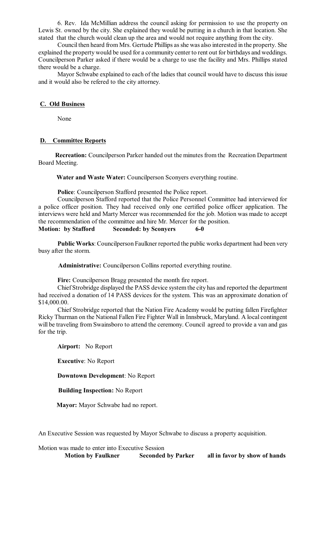6. Rev. Ida McMillian address the council asking for permission to use the property on Lewis St. owned by the city. She explained they would be putting in a church in that location. She stated that the church would clean up the area and would not require anything from the city.

Council then heard from Mrs. Gertude Phillips as she was also interested in the property. She explained the property would be used for a community center to rent out for birthdays and weddings. Councilperson Parker asked if there would be a charge to use the facility and Mrs. Phillips stated there would be a charge.

Mayor Schwabe explained to each of the ladies that council would have to discuss this issue and it would also be refered to the city attorney.

### **C. Old Business**

None

# **D. Committee Reports**

**Recreation:** Councilperson Parker handed out the minutes from the Recreation Department Board Meeting.

**Water and Waste Water:** Councilperson Sconyers everything routine.

**Police**: Councilperson Stafford presented the Police report.

Councilperson Stafford reported that the Police Personnel Committee had interviewed for a police officer position. They had received only one certified police officer application. The interviews were held and Marty Mercer was recommended for the job. Motion was made to accept the recommendation of the committee and hire Mr. Mercer for the position. **Motion: by Stafford Seconded: by Sconyers 6-0** 

**Public Works**: Councilperson Faulkner reported the public works department had been very busy after the storm.

**Administrative:** Councilperson Collins reported everything routine.

**Fire:** Councilperson Bragg presented the month fire report.

Chief Strobridge displayed the PASS device system the city has and reported the department had received a donation of 14 PASS devices for the system. This was an approximate donation of \$14,000.00.

Chief Strobridge reported that the Nation Fire Academy would be putting fallen Firefighter Ricky Thurman on the National Fallen Fire Fighter Wall in Innsbruck, Maryland. A local contingent will be traveling from Swainsboro to attend the ceremony. Council agreed to provide a van and gas for the trip.

**Airport:** No Report

**Executive**: No Report

### **Downtown Development**: No Report

**Building Inspection:** No Report

**Mayor:** Mayor Schwabe had no report.

An Executive Session was requested by Mayor Schwabe to discuss a property acquisition.

Motion was made to enter into Executive Session **Motion by Faulkner Seconded by Parker all in favor by show of hands**